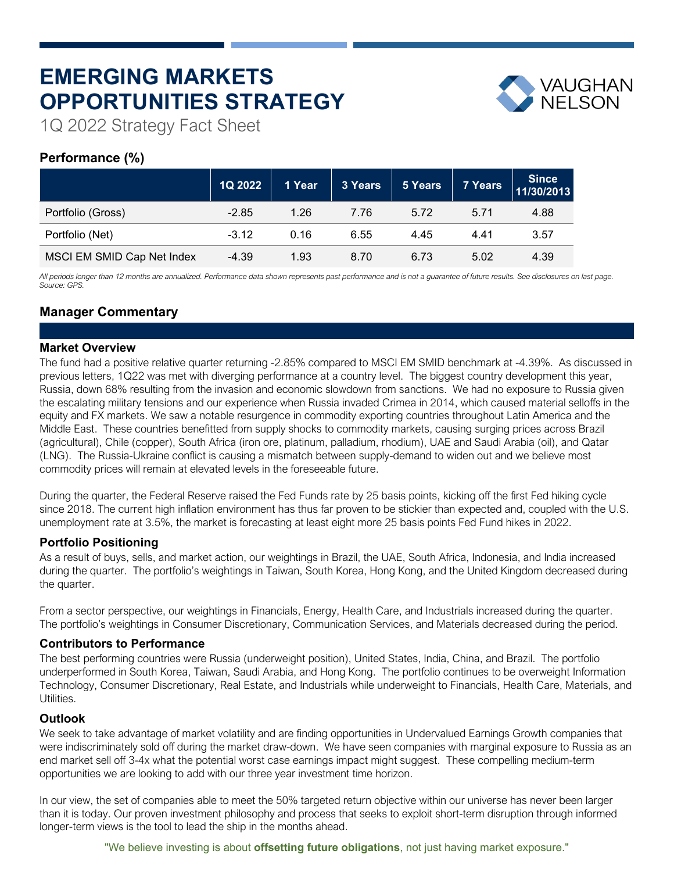# **EMERGING MARKETS OPPORTUNITIES STRATEGY**



1Q 2022 Strategy Fact Sheet

# **Performance (%)**

|                            | 1Q 2022 | 1 Year | 3 Years | 5 Years | 7 Years | Since<br>11/30/2013 |
|----------------------------|---------|--------|---------|---------|---------|---------------------|
| Portfolio (Gross)          | $-2.85$ | 1.26   | 7.76    | 5.72    | 5.71    | 4.88                |
| Portfolio (Net)            | $-3.12$ | 0.16   | 6.55    | 4.45    | 4.41    | 3.57                |
| MSCI EM SMID Cap Net Index | $-4.39$ | 1.93   | 8.70    | 6.73    | 5.02    | 4.39                |

*All periods longer than 12 months are annualized. Performance data shown represents past performance and is not a guarantee of future results. See disclosures on last page. Source: GPS.*

# **Manager Commentary**

## **Market Overview**

The fund had a positive relative quarter returning -2.85% compared to MSCI EM SMID benchmark at -4.39%. As discussed in previous letters, 1Q22 was met with diverging performance at a country level. The biggest country development this year, Russia, down 68% resulting from the invasion and economic slowdown from sanctions. We had no exposure to Russia given the escalating military tensions and our experience when Russia invaded Crimea in 2014, which caused material selloffs in the equity and FX markets. We saw a notable resurgence in commodity exporting countries throughout Latin America and the Middle East. These countries benefitted from supply shocks to commodity markets, causing surging prices across Brazil (agricultural), Chile (copper), South Africa (iron ore, platinum, palladium, rhodium), UAE and Saudi Arabia (oil), and Qatar (LNG). The Russia-Ukraine conflict is causing a mismatch between supply-demand to widen out and we believe most commodity prices will remain at elevated levels in the foreseeable future.

During the quarter, the Federal Reserve raised the Fed Funds rate by 25 basis points, kicking off the first Fed hiking cycle since 2018. The current high inflation environment has thus far proven to be stickier than expected and, coupled with the U.S. unemployment rate at 3.5%, the market is forecasting at least eight more 25 basis points Fed Fund hikes in 2022.

## **Portfolio Positioning**

As a result of buys, sells, and market action, our weightings in Brazil, the UAE, South Africa, Indonesia, and India increased during the quarter. The portfolio's weightings in Taiwan, South Korea, Hong Kong, and the United Kingdom decreased during the quarter.

From a sector perspective, our weightings in Financials, Energy, Health Care, and Industrials increased during the quarter. The portfolio's weightings in Consumer Discretionary, Communication Services, and Materials decreased during the period.

## **Contributors to Performance**

The best performing countries were Russia (underweight position), United States, India, China, and Brazil. The portfolio underperformed in South Korea, Taiwan, Saudi Arabia, and Hong Kong. The portfolio continues to be overweight Information Technology, Consumer Discretionary, Real Estate, and Industrials while underweight to Financials, Health Care, Materials, and Utilities.

## **Outlook**

We seek to take advantage of market volatility and are finding opportunities in Undervalued Earnings Growth companies that were indiscriminately sold off during the market draw-down. We have seen companies with marginal exposure to Russia as an end market sell off 3-4x what the potential worst case earnings impact might suggest. These compelling medium-term opportunities we are looking to add with our three year investment time horizon.

In our view, the set of companies able to meet the 50% targeted return objective within our universe has never been larger than it is today. Our proven investment philosophy and process that seeks to exploit short-term disruption through informed longer-term views is the tool to lead the ship in the months ahead.

"We believe investing is about **offsetting future obligations**, not just having market exposure."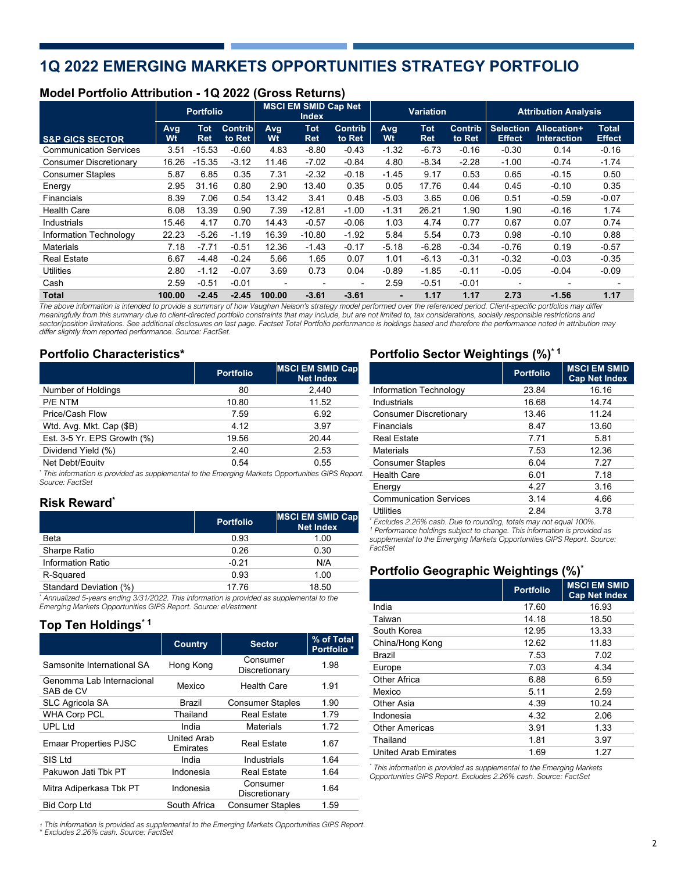# **1Q 2022 EMERGING MARKETS OPPORTUNITIES STRATEGY PORTFOLIO**

## **Model Portfolio Attribution - 1Q 2022 (Gross Returns)**

|                               | <b>Portfolio</b> |                          | <b>MSCI EM SMID Cap Net</b><br><b>Index</b> |           | <b>Variation</b>         |                          | <b>Attribution Analysis</b> |                          |                          |                                   |                                   |                               |
|-------------------------------|------------------|--------------------------|---------------------------------------------|-----------|--------------------------|--------------------------|-----------------------------|--------------------------|--------------------------|-----------------------------------|-----------------------------------|-------------------------------|
| <b>S&amp;P GICS SECTOR</b>    | Avg<br>Wt        | <b>Tot</b><br><b>Ret</b> | Contrib<br>to Ret                           | Avg<br>Wt | <b>Tot</b><br><b>Ret</b> | <b>Contrib</b><br>to Ret | Avg<br>Wt                   | <b>Tot</b><br><b>Ret</b> | <b>Contrib</b><br>to Ret | <b>Selection</b><br><b>Effect</b> | Allocation+<br><b>Interaction</b> | <b>Total</b><br><b>Effect</b> |
| <b>Communication Services</b> | 3.51             | $-15.53$                 | $-0.60$                                     | 4.83      | $-8.80$                  | $-0.43$                  | $-1.32$                     | $-6.73$                  | $-0.16$                  | $-0.30$                           | 0.14                              | $-0.16$                       |
| <b>Consumer Discretionary</b> | 16.26            | $-15.35$                 | $-3.12$                                     | 11.46     | $-7.02$                  | $-0.84$                  | 4.80                        | $-8.34$                  | $-2.28$                  | $-1.00$                           | $-0.74$                           | $-1.74$                       |
| <b>Consumer Staples</b>       | 5.87             | 6.85                     | 0.35                                        | 7.31      | $-2.32$                  | $-0.18$                  | $-1.45$                     | 9.17                     | 0.53                     | 0.65                              | $-0.15$                           | 0.50                          |
| Energy                        | 2.95             | 31.16                    | 0.80                                        | 2.90      | 13.40                    | 0.35                     | 0.05                        | 17.76                    | 0.44                     | 0.45                              | $-0.10$                           | 0.35                          |
| <b>Financials</b>             | 8.39             | 7.06                     | 0.54                                        | 13.42     | 3.41                     | 0.48                     | $-5.03$                     | 3.65                     | 0.06                     | 0.51                              | $-0.59$                           | $-0.07$                       |
| <b>Health Care</b>            | 6.08             | 13.39                    | 0.90                                        | 7.39      | $-12.81$                 | $-1.00$                  | $-1.31$                     | 26.21                    | 1.90                     | 1.90                              | $-0.16$                           | 1.74                          |
| Industrials                   | 15.46            | 4.17                     | 0.70                                        | 14.43     | $-0.57$                  | $-0.06$                  | 1.03                        | 4.74                     | 0.77                     | 0.67                              | 0.07                              | 0.74                          |
| Information Technology        | 22.23            | $-5.26$                  | $-1.19$                                     | 16.39     | $-10.80$                 | $-1.92$                  | 5.84                        | 5.54                     | 0.73                     | 0.98                              | $-0.10$                           | 0.88                          |
| <b>Materials</b>              | 7.18             | $-7.71$                  | $-0.51$                                     | 12.36     | $-1.43$                  | $-0.17$                  | $-5.18$                     | $-6.28$                  | $-0.34$                  | $-0.76$                           | 0.19                              | $-0.57$                       |
| <b>Real Estate</b>            | 6.67             | $-4.48$                  | $-0.24$                                     | 5.66      | 1.65                     | 0.07                     | 1.01                        | $-6.13$                  | $-0.31$                  | $-0.32$                           | $-0.03$                           | $-0.35$                       |
| <b>Utilities</b>              | 2.80             | $-1.12$                  | $-0.07$                                     | 3.69      | 0.73                     | 0.04                     | $-0.89$                     | $-1.85$                  | $-0.11$                  | $-0.05$                           | $-0.04$                           | $-0.09$                       |
| Cash                          | 2.59             | $-0.51$                  | $-0.01$                                     |           |                          | $\overline{\phantom{0}}$ | 2.59                        | $-0.51$                  | $-0.01$                  | $\overline{\phantom{0}}$          | $\overline{\phantom{0}}$          |                               |
| <b>Total</b>                  | 100.00           | $-2.45$                  | $-2.45$                                     | 100.00    | $-3.61$                  | $-3.61$                  |                             | 1.17                     | 1.17                     | 2.73                              | $-1.56$                           | 1.17                          |

*The above information is intended to provide a summary of how Vaughan Nelson's strategy model performed over the referenced period. Client-specific portfolios may differ* meaningfully from this summary due to client-directed portfolio constraints that may include, but are not limited to, tax considerations, socially responsible restrictions and<br>sector/position limitations. See additional di *differ slightly from reported performance. Source: FactSet.*

## **Portfolio Characteristics\***

|                             | <b>Portfolio</b> | <b>MSCI EM SMID Cap</b><br><b>Net Index</b> |
|-----------------------------|------------------|---------------------------------------------|
| Number of Holdings          | 80               | 2.440                                       |
| P/E NTM                     | 10.80            | 11.52                                       |
| Price/Cash Flow             | 7.59             | 6.92                                        |
| Wtd. Avg. Mkt. Cap (\$B)    | 4.12             | 3.97                                        |
| Est. 3-5 Yr. EPS Growth (%) | 19.56            | 20.44                                       |
| Dividend Yield (%)          | 2.40             | 2.53                                        |
| Net Debt/Equity             | 0.54             | 0.55                                        |

*\* This information is provided as supplemental to the Emerging Markets Opportunities GIPS Report. Source: FactSet*

## **Risk Reward\***

|                                                                                                                                                                                                                                                                                                                                                | <b>Portfolio</b> | <b>MSCI EM SMID Cap</b><br><b>Net Index</b> |
|------------------------------------------------------------------------------------------------------------------------------------------------------------------------------------------------------------------------------------------------------------------------------------------------------------------------------------------------|------------------|---------------------------------------------|
| <b>Beta</b>                                                                                                                                                                                                                                                                                                                                    | 0.93             | 1.00                                        |
| Sharpe Ratio                                                                                                                                                                                                                                                                                                                                   | 0.26             | 0.30                                        |
| <b>Information Ratio</b>                                                                                                                                                                                                                                                                                                                       | $-0.21$          | N/A                                         |
| R-Squared                                                                                                                                                                                                                                                                                                                                      | 0.93             | 1.00                                        |
| Standard Deviation (%)                                                                                                                                                                                                                                                                                                                         | 17.76            | 18.50                                       |
| $^{\star}$ $\qquad$ $\qquad$ $\qquad$ $\qquad$ $\qquad$ $\qquad$ $\qquad$ $\qquad$ $\qquad$ $\qquad$ $\qquad$ $\qquad$ $\qquad$ $\qquad$ $\qquad$ $\qquad$ $\qquad$ $\qquad$ $\qquad$ $\qquad$ $\qquad$ $\qquad$ $\qquad$ $\qquad$ $\qquad$ $\qquad$ $\qquad$ $\qquad$ $\qquad$ $\qquad$ $\qquad$ $\qquad$ $\qquad$ $\qquad$ $\qquad$ $\qquad$ |                  |                                             |

*\* Annualized 5-years ending 3/31/2022. This information is provided as supplemental to the Emerging Markets Opportunities GIPS Report. Source: eVestment*

## **Top Ten Holdings\* 1**

|                                        | <b>Country</b>                 | <b>Sector</b>             | % of Total<br>Portfolio <sup>*</sup> |
|----------------------------------------|--------------------------------|---------------------------|--------------------------------------|
| Samsonite International SA             | Hong Kong                      | Consumer<br>Discretionary | 1.98                                 |
| Genomma Lab Internacional<br>SAB de CV | Mexico                         | <b>Health Care</b>        | 1.91                                 |
| <b>SLC Agricola SA</b>                 | Brazil                         | <b>Consumer Staples</b>   | 1.90                                 |
| <b>WHA Corp PCL</b>                    | Thailand                       | <b>Real Estate</b>        | 1.79                                 |
| <b>UPL Ltd</b>                         | India                          | <b>Materials</b>          | 1.72                                 |
| <b>Emaar Properties PJSC</b>           | <b>United Arab</b><br>Emirates | <b>Real Estate</b>        | 1.67                                 |
| SIS Ltd                                | India                          | Industrials               | 1.64                                 |
| Pakuwon Jati Tbk PT                    | Indonesia                      | <b>Real Estate</b>        | 1.64                                 |
| Mitra Adiperkasa Tbk PT                | Indonesia                      | Consumer<br>Discretionary | 1.64                                 |
| <b>Bid Corp Ltd</b>                    | South Africa                   | <b>Consumer Staples</b>   | 1.59                                 |

*<sup>1</sup> This information is provided as supplemental to the Emerging Markets Opportunities GIPS Report. \* Excludes 2.26% cash. Source: FactSet*

## **Portfolio Sector Weightings (%)\* 1**

|                               | <b>Portfolio</b> | <b>MSCI EM SMID</b><br><b>Cap Net Index</b> |
|-------------------------------|------------------|---------------------------------------------|
| Information Technology        | 23.84            | 16.16                                       |
| Industrials                   | 16.68            | 14.74                                       |
| Consumer Discretionary        | 13.46            | 11.24                                       |
| Financials                    | 8.47             | 13.60                                       |
| <b>Real Estate</b>            | 7.71             | 5.81                                        |
| <b>Materials</b>              | 7.53             | 12.36                                       |
| <b>Consumer Staples</b>       | 6.04             | 7.27                                        |
| <b>Health Care</b>            | 6.01             | 7.18                                        |
| Energy                        | 4.27             | 3.16                                        |
| <b>Communication Services</b> | 3.14             | 4.66                                        |
| Utilities                     | 2.84             | 3.78                                        |
|                               |                  |                                             |

*\* Excludes 2.26% cash. Due to rounding, totals may not equal 100%. 1 Performance holdings subject to change. This information is provided as supplemental to the Emerging Markets Opportunities GIPS Report. Source: FactSet*

## **Portfolio Geographic Weightings (%)\***

|                       | <b>Portfolio</b> | <b>MSCI EM SMID</b><br><b>Cap Net Index</b> |
|-----------------------|------------------|---------------------------------------------|
| India                 | 17.60            | 16.93                                       |
| Taiwan                | 14.18            | 18.50                                       |
| South Korea           | 12.95            | 13.33                                       |
| China/Hong Kong       | 12.62            | 11.83                                       |
| Brazil                | 7.53             | 7.02                                        |
| Europe                | 7.03             | 4.34                                        |
| Other Africa          | 6.88             | 6.59                                        |
| Mexico                | 5.11             | 2.59                                        |
| Other Asia            | 4.39             | 10.24                                       |
| Indonesia             | 4.32             | 2.06                                        |
| <b>Other Americas</b> | 3.91             | 1.33                                        |
| Thailand              | 1.81             | 3.97                                        |
| United Arab Emirates  | 1.69             | 1.27                                        |

*\* This information is provided as supplemental to the Emerging Markets Opportunities GIPS Report. Excludes 2.26% cash. Source: FactSet*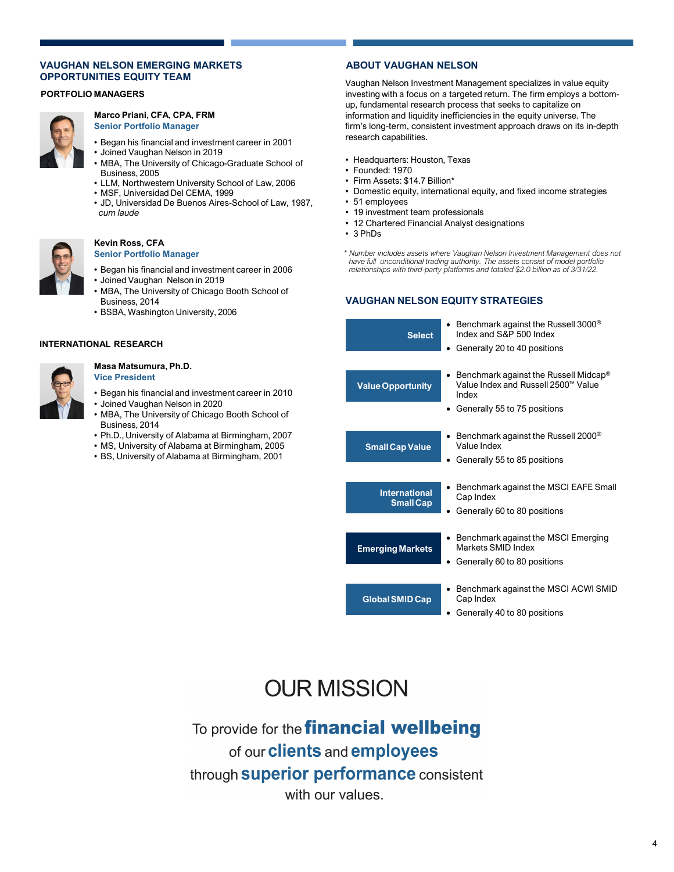## **VAUGHAN NELSON EMERGING MARKETS OPPORTUNITIES EQUITY TEAM**

## **PORTFOLIO MANAGERS**



#### **Marco Priani, CFA, CPA, FRM Senior Portfolio Manager**

- Began his financial and investment career in 2001
- Joined Vaughan Nelson in 2019
- MBA, The University of Chicago-Graduate School of Business, 2005
- LLM, Northwestern University School of Law, 2006
- MSF, Universidad Del CEMA, 1999
- JD, Universidad De Buenos Aires-School of Law, 1987, *cum laude*



#### **Kevin Ross, CFA Senior Portfolio Manager**

- Began his financial and investment career in 2006
- Joined Vaughan Nelson in 2019
- MBA, The University of Chicago Booth School of Business, 2014
- BSBA, Washington University, 2006

### **INTERNATIONAL RESEARCH**



#### **Masa Matsumura, Ph.D. Vice President**

- Began his financial and investment career in 2010 • Joined Vaughan Nelson in 2020
- MBA, The University of Chicago Booth School of
- Business, 2014
- Ph.D., University of Alabama at Birmingham, 2007
- MS, University of Alabama at Birmingham, 2005
- BS, University of Alabama at Birmingham, 2001

## **ABOUT VAUGHAN NELSON**

Vaughan Nelson Investment Management specializes in value equity investing with a focus on a targeted return. The firm employs a bottomup, fundamental research process that seeks to capitalize on information and liquidity inefficiencies in the equity universe. The firm's long-term, consistent investment approach draws on its in-depth research capabilities.

- Headquarters: Houston, Texas
- Founded: 1970
- Firm Assets: \$14.7 Billion\*
- Domestic equity, international equity, and fixed income strategies
- 51 employees
- 19 investment team professionals
- 12 Chartered Financial Analyst designations
- 3 PhDs
- *\* Number includes assets where Vaughan Nelson Investment Management does not have full unconditional trading authority. The assets consist of model portfolio relationships with third-party platforms and totaled \$2.0 billion as of 3/31/22.*

## **VAUGHAN NELSON EQUITY STRATEGIES**



# **OUR MISSION**

To provide for the **financial wellbeing** of our **clients** and **employees** through **superior performance** consistent with our values.